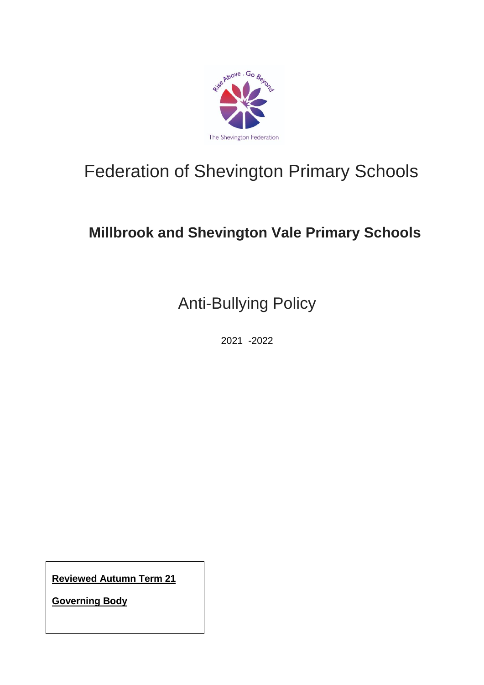

# Federation of Shevington Primary Schools

## **Millbrook and Shevington Vale Primary Schools**

Anti-Bullying Policy

2021 -2022

**Reviewed Autumn Term 21**

**Governing Body**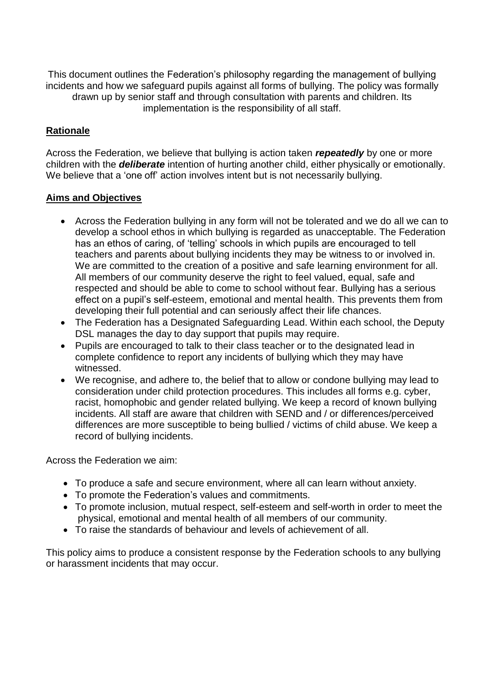This document outlines the Federation's philosophy regarding the management of bullying incidents and how we safeguard pupils against all forms of bullying. The policy was formally drawn up by senior staff and through consultation with parents and children. Its implementation is the responsibility of all staff.

## **Rationale**

Across the Federation, we believe that bullying is action taken *repeatedly* by one or more children with the *deliberate* intention of hurting another child, either physically or emotionally. We believe that a 'one off' action involves intent but is not necessarily bullying.

## **Aims and Objectives**

- Across the Federation bullying in any form will not be tolerated and we do all we can to develop a school ethos in which bullying is regarded as unacceptable. The Federation has an ethos of caring, of 'telling' schools in which pupils are encouraged to tell teachers and parents about bullying incidents they may be witness to or involved in. We are committed to the creation of a positive and safe learning environment for all. All members of our community deserve the right to feel valued, equal, safe and respected and should be able to come to school without fear. Bullying has a serious effect on a pupil's self-esteem, emotional and mental health. This prevents them from developing their full potential and can seriously affect their life chances.
- The Federation has a Designated Safeguarding Lead. Within each school, the Deputy DSL manages the day to day support that pupils may require.
- Pupils are encouraged to talk to their class teacher or to the designated lead in complete confidence to report any incidents of bullying which they may have witnessed.
- We recognise, and adhere to, the belief that to allow or condone bullying may lead to consideration under child protection procedures. This includes all forms e.g. cyber, racist, homophobic and gender related bullying. We keep a record of known bullying incidents. All staff are aware that children with SEND and / or differences/perceived differences are more susceptible to being bullied / victims of child abuse. We keep a record of bullying incidents.

Across the Federation we aim:

- To produce a safe and secure environment, where all can learn without anxiety.
- To promote the Federation's values and commitments.
- To promote inclusion, mutual respect, self-esteem and self-worth in order to meet the physical, emotional and mental health of all members of our community.
- To raise the standards of behaviour and levels of achievement of all.

This policy aims to produce a consistent response by the Federation schools to any bullying or harassment incidents that may occur.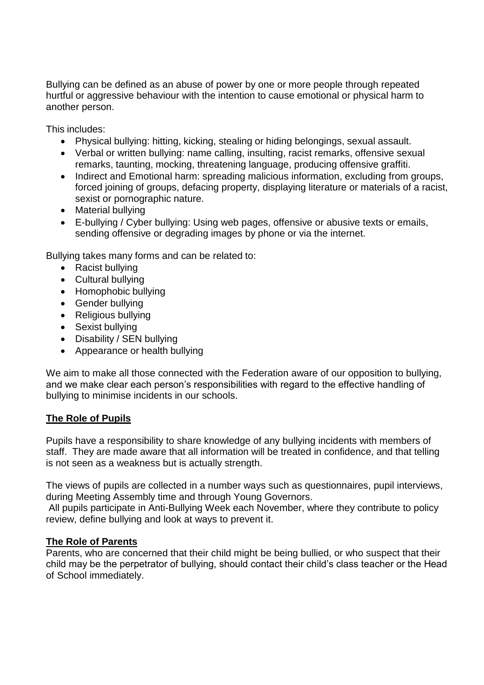Bullying can be defined as an abuse of power by one or more people through repeated hurtful or aggressive behaviour with the intention to cause emotional or physical harm to another person.

This includes:

- Physical bullying: hitting, kicking, stealing or hiding belongings, sexual assault.
- Verbal or written bullying: name calling, insulting, racist remarks, offensive sexual remarks, taunting, mocking, threatening language, producing offensive graffiti.
- Indirect and Emotional harm: spreading malicious information, excluding from groups, forced joining of groups, defacing property, displaying literature or materials of a racist, sexist or pornographic nature.
- Material bullving
- E-bullying / Cyber bullying: Using web pages, offensive or abusive texts or emails, sending offensive or degrading images by phone or via the internet.

Bullying takes many forms and can be related to:

- Racist bullving
- Cultural bullying
- Homophobic bullying
- Gender bullving
- Religious bullying
- Sexist bullying
- Disability / SEN bullying
- Appearance or health bullying

We aim to make all those connected with the Federation aware of our opposition to bullying, and we make clear each person's responsibilities with regard to the effective handling of bullying to minimise incidents in our schools.

## **The Role of Pupils**

Pupils have a responsibility to share knowledge of any bullying incidents with members of staff. They are made aware that all information will be treated in confidence, and that telling is not seen as a weakness but is actually strength.

The views of pupils are collected in a number ways such as questionnaires, pupil interviews, during Meeting Assembly time and through Young Governors.

All pupils participate in Anti-Bullying Week each November, where they contribute to policy review, define bullying and look at ways to prevent it.

#### **The Role of Parents**

Parents, who are concerned that their child might be being bullied, or who suspect that their child may be the perpetrator of bullying, should contact their child's class teacher or the Head of School immediately.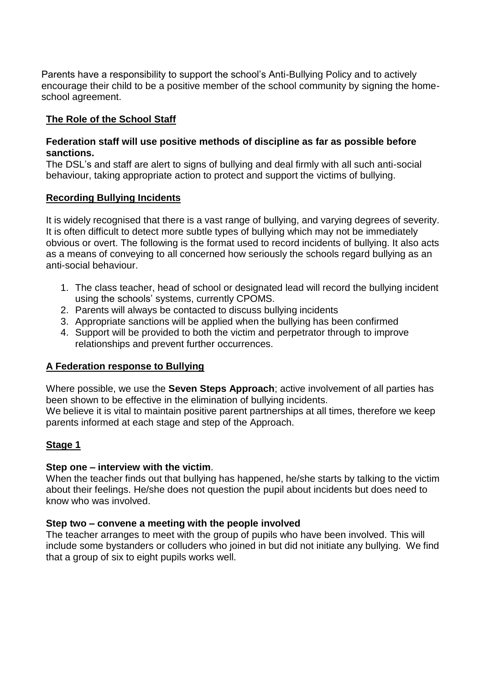Parents have a responsibility to support the school's Anti-Bullying Policy and to actively encourage their child to be a positive member of the school community by signing the homeschool agreement.

## **The Role of the School Staff**

### **Federation staff will use positive methods of discipline as far as possible before sanctions.**

The DSL's and staff are alert to signs of bullying and deal firmly with all such anti-social behaviour, taking appropriate action to protect and support the victims of bullying.

## **Recording Bullying Incidents**

It is widely recognised that there is a vast range of bullying, and varying degrees of severity. It is often difficult to detect more subtle types of bullying which may not be immediately obvious or overt. The following is the format used to record incidents of bullying. It also acts as a means of conveying to all concerned how seriously the schools regard bullying as an anti-social behaviour.

- 1. The class teacher, head of school or designated lead will record the bullying incident using the schools' systems, currently CPOMS.
- 2. Parents will always be contacted to discuss bullying incidents
- 3. Appropriate sanctions will be applied when the bullying has been confirmed
- 4. Support will be provided to both the victim and perpetrator through to improve relationships and prevent further occurrences.

## **A Federation response to Bullying**

Where possible, we use the **Seven Steps Approach**; active involvement of all parties has been shown to be effective in the elimination of bullying incidents.

We believe it is vital to maintain positive parent partnerships at all times, therefore we keep parents informed at each stage and step of the Approach.

## **Stage 1**

## **Step one – interview with the victim**.

When the teacher finds out that bullying has happened, he/she starts by talking to the victim about their feelings. He/she does not question the pupil about incidents but does need to know who was involved.

## **Step two – convene a meeting with the people involved**

The teacher arranges to meet with the group of pupils who have been involved. This will include some bystanders or colluders who joined in but did not initiate any bullying. We find that a group of six to eight pupils works well.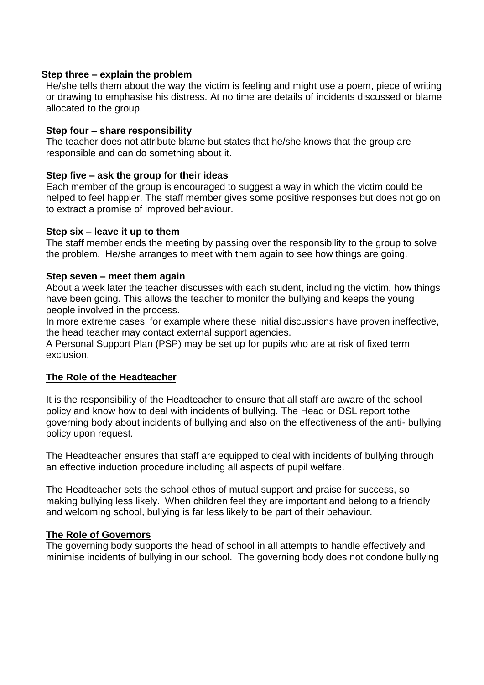#### **Step three – explain the problem**

He/she tells them about the way the victim is feeling and might use a poem, piece of writing or drawing to emphasise his distress. At no time are details of incidents discussed or blame allocated to the group.

#### **Step four – share responsibility**

The teacher does not attribute blame but states that he/she knows that the group are responsible and can do something about it.

#### **Step five – ask the group for their ideas**

Each member of the group is encouraged to suggest a way in which the victim could be helped to feel happier. The staff member gives some positive responses but does not go on to extract a promise of improved behaviour.

#### **Step six – leave it up to them**

The staff member ends the meeting by passing over the responsibility to the group to solve the problem. He/she arranges to meet with them again to see how things are going.

#### **Step seven – meet them again**

About a week later the teacher discusses with each student, including the victim, how things have been going. This allows the teacher to monitor the bullying and keeps the young people involved in the process.

In more extreme cases, for example where these initial discussions have proven ineffective, the head teacher may contact external support agencies.

A Personal Support Plan (PSP) may be set up for pupils who are at risk of fixed term exclusion.

#### **The Role of the Headteacher**

It is the responsibility of the Headteacher to ensure that all staff are aware of the school policy and know how to deal with incidents of bullying. The Head or DSL report tothe governing body about incidents of bullying and also on the effectiveness of the anti- bullying policy upon request.

The Headteacher ensures that staff are equipped to deal with incidents of bullying through an effective induction procedure including all aspects of pupil welfare.

The Headteacher sets the school ethos of mutual support and praise for success, so making bullying less likely. When children feel they are important and belong to a friendly and welcoming school, bullying is far less likely to be part of their behaviour.

#### **The Role of Governors**

The governing body supports the head of school in all attempts to handle effectively and minimise incidents of bullying in our school. The governing body does not condone bullying